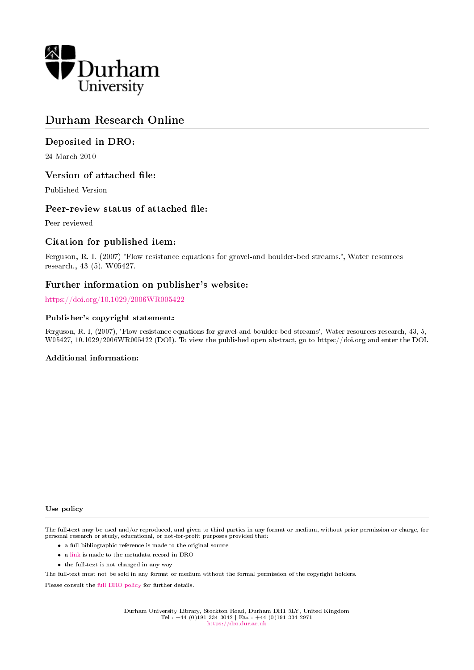

# Durham Research Online

## Deposited in DRO:

24 March 2010

## Version of attached file:

Published Version

## Peer-review status of attached file:

Peer-reviewed

## Citation for published item:

Ferguson, R. I. (2007) 'Flow resistance equations for gravel-and boulder-bed streams.', Water resources research., 43 (5). W05427.

## Further information on publisher's website:

<https://doi.org/10.1029/2006WR005422>

## Publisher's copyright statement:

Ferguson, R. I, (2007), 'Flow resistance equations for gravel-and boulder-bed streams', Water resources research, 43, 5, W05427, 10.1029/2006WR005422 (DOI). To view the published open abstract, go to https://doi.org and enter the DOI.

## Additional information:

## Use policy

The full-text may be used and/or reproduced, and given to third parties in any format or medium, without prior permission or charge, for personal research or study, educational, or not-for-profit purposes provided that:

- a full bibliographic reference is made to the original source
- a [link](http://dro.dur.ac.uk/4448/) is made to the metadata record in DRO
- the full-text is not changed in any way

The full-text must not be sold in any format or medium without the formal permission of the copyright holders.

Please consult the [full DRO policy](https://dro.dur.ac.uk/policies/usepolicy.pdf) for further details.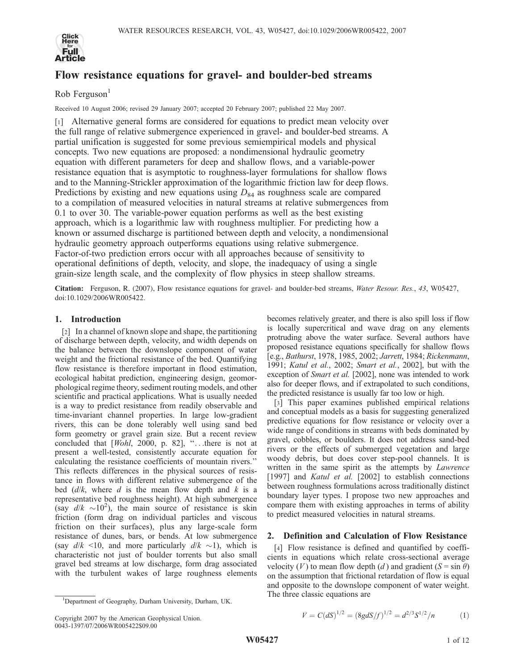

## Flow resistance equations for gravel- and boulder-bed streams

 $Rob$  Ferguson $<sup>1</sup>$ </sup>

Received 10 August 2006; revised 29 January 2007; accepted 20 February 2007; published 22 May 2007.

[1] Alternative general forms are considered for equations to predict mean velocity over the full range of relative submergence experienced in gravel- and boulder-bed streams. A partial unification is suggested for some previous semiempirical models and physical concepts. Two new equations are proposed: a nondimensional hydraulic geometry equation with different parameters for deep and shallow flows, and a variable-power resistance equation that is asymptotic to roughness-layer formulations for shallow flows and to the Manning-Strickler approximation of the logarithmic friction law for deep flows. Predictions by existing and new equations using  $D_{84}$  as roughness scale are compared to a compilation of measured velocities in natural streams at relative submergences from 0.1 to over 30. The variable-power equation performs as well as the best existing approach, which is a logarithmic law with roughness multiplier. For predicting how a known or assumed discharge is partitioned between depth and velocity, a nondimensional hydraulic geometry approach outperforms equations using relative submergence. Factor-of-two prediction errors occur with all approaches because of sensitivity to operational definitions of depth, velocity, and slope, the inadequacy of using a single grain-size length scale, and the complexity of flow physics in steep shallow streams.

Citation: Ferguson, R. (2007), Flow resistance equations for gravel- and boulder-bed streams, Water Resour. Res., 43, W05427, doi:10.1029/2006WR005422.

## 1. Introduction

[2] In a channel of known slope and shape, the partitioning of discharge between depth, velocity, and width depends on the balance between the downslope component of water weight and the frictional resistance of the bed. Quantifying flow resistance is therefore important in flood estimation, ecological habitat prediction, engineering design, geomorphological regime theory, sediment routing models, and other scientific and practical applications. What is usually needed is a way to predict resistance from readily observable and time-invariant channel properties. In large low-gradient rivers, this can be done tolerably well using sand bed form geometry or gravel grain size. But a recent review concluded that [Wohl, 2000, p. 82], "...there is not at present a well-tested, consistently accurate equation for calculating the resistance coefficients of mountain rivers.'' This reflects differences in the physical sources of resistance in flows with different relative submergence of the bed  $(d/k,$  where d is the mean flow depth and k is a representative bed roughness height). At high submergence (say  $d/k \sim 10^2$ ), the main source of resistance is skin friction (form drag on individual particles and viscous friction on their surfaces), plus any large-scale form resistance of dunes, bars, or bends. At low submergence (say  $d/k \le 10$ , and more particularly  $d/k \sim 1$ ), which is characteristic not just of boulder torrents but also small gravel bed streams at low discharge, form drag associated with the turbulent wakes of large roughness elements

becomes relatively greater, and there is also spill loss if flow is locally supercritical and wave drag on any elements protruding above the water surface. Several authors have proposed resistance equations specifically for shallow flows [e.g., Bathurst, 1978, 1985, 2002; Jarrett, 1984; Rickenmann, 1991; Katul et al., 2002; Smart et al., 2002], but with the exception of *Smart et al.* [2002], none was intended to work also for deeper flows, and if extrapolated to such conditions, the predicted resistance is usually far too low or high.

[3] This paper examines published empirical relations and conceptual models as a basis for suggesting generalized predictive equations for flow resistance or velocity over a wide range of conditions in streams with beds dominated by gravel, cobbles, or boulders. It does not address sand-bed rivers or the effects of submerged vegetation and large woody debris, but does cover step-pool channels. It is written in the same spirit as the attempts by *Lawrence* [1997] and *Katul et al.* [2002] to establish connections between roughness formulations across traditionally distinct boundary layer types. I propose two new approaches and compare them with existing approaches in terms of ability to predict measured velocities in natural streams.

## 2. Definition and Calculation of Flow Resistance

[4] Flow resistance is defined and quantified by coefficients in equations which relate cross-sectional average velocity (V) to mean flow depth (d) and gradient  $(S = \sin \theta)$ on the assumption that frictional retardation of flow is equal and opposite to the downslope component of water weight. The three classic equations are

$$
V = C(dS)^{1/2} = (8gdS/f)^{1/2} = d^{2/3}S^{1/2}/n
$$
 (1)

<sup>&</sup>lt;sup>1</sup>Department of Geography, Durham University, Durham, UK.

Copyright 2007 by the American Geophysical Union. 0043-1397/07/2006WR005422\$09.00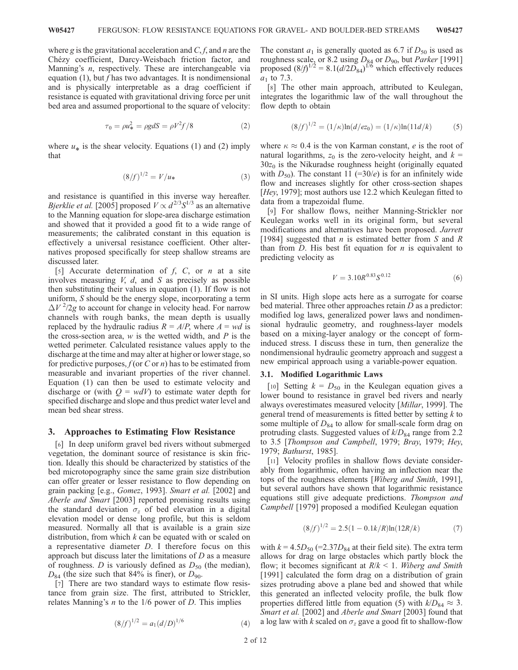where g is the gravitational acceleration and  $C, f$ , and n are the Chézy coefficient, Darcy-Weisbach friction factor, and Manning's *n*, respectively. These are interchangeable via equation  $(1)$ , but f has two advantages. It is nondimensional and is physically interpretable as a drag coefficient if resistance is equated with gravitational driving force per unit bed area and assumed proportional to the square of velocity:

$$
\tau_0 = \rho u_*^2 = \rho g dS = \rho V^2 f / 8 \tag{2}
$$

where  $u_*$  is the shear velocity. Equations (1) and (2) imply that

$$
(8/f)^{1/2} = V/u* \tag{3}
$$

and resistance is quantified in this inverse way hereafter. Bjerklie et al. [2005] proposed  $V \propto d^{2/3} S^{1/3}$  as an alternative to the Manning equation for slope-area discharge estimation and showed that it provided a good fit to a wide range of measurements; the calibrated constant in this equation is effectively a universal resistance coefficient. Other alternatives proposed specifically for steep shallow streams are discussed later.

[5] Accurate determination of  $f$ ,  $C$ , or  $n$  at a site involves measuring  $V$ ,  $d$ , and  $S$  as precisely as possible then substituting their values in equation (1). If flow is not uniform, S should be the energy slope, incorporating a term  $\Delta V^2/2g$  to account for change in velocity head. For narrow channels with rough banks, the mean depth is usually replaced by the hydraulic radius  $R = A/P$ , where  $A = wd$  is the cross-section area,  $w$  is the wetted width, and  $P$  is the wetted perimeter. Calculated resistance values apply to the discharge at the time and may alter at higher or lower stage, so for predictive purposes,  $f$  (or C or *n*) has to be estimated from measurable and invariant properties of the river channel. Equation (1) can then be used to estimate velocity and discharge or (with  $Q = w dV$ ) to estimate water depth for specified discharge and slope and thus predict water level and mean bed shear stress.

#### 3. Approaches to Estimating Flow Resistance

[6] In deep uniform gravel bed rivers without submerged vegetation, the dominant source of resistance is skin friction. Ideally this should be characterized by statistics of the bed microtopography since the same grain size distribution can offer greater or lesser resistance to flow depending on grain packing [e.g., Gomez, 1993]. Smart et al. [2002] and Aberle and Smart [2003] reported promising results using the standard deviation  $\sigma_z$  of bed elevation in a digital elevation model or dense long profile, but this is seldom measured. Normally all that is available is a grain size distribution, from which  $k$  can be equated with or scaled on a representative diameter D. I therefore focus on this approach but discuss later the limitations of  $D$  as a measure of roughness. D is variously defined as  $D_{50}$  (the median),  $D_{84}$  (the size such that 84% is finer), or  $D_{90}$ .

[7] There are two standard ways to estimate flow resistance from grain size. The first, attributed to Strickler, relates Manning's *n* to the  $1/6$  power of *D*. This implies

$$
(8/f)^{1/2} = a_1 (d/D)^{1/6}
$$
 (4)

The constant  $a_1$  is generally quoted as 6.7 if  $D_{50}$  is used as roughness scale, or 8.2 using  $D_{84}$  or  $D_{90}$ , but *Parker* [1991] proposed  $(8/f)^{1/2} = 8.1(d/2D_{84})^{1/6}$  which effectively reduces  $a_1$  to 7.3.

[8] The other main approach, attributed to Keulegan, integrates the logarithmic law of the wall throughout the flow depth to obtain

$$
(8/f)^{1/2} = (1/\kappa)\ln(d/e z_0) = (1/\kappa)\ln(11d/k) \tag{5}
$$

where  $\kappa \approx 0.4$  is the von Karman constant, *e* is the root of natural logarithms,  $z_0$  is the zero-velocity height, and  $k =$  $30z<sub>0</sub>$  is the Nikuradse roughness height (originally equated with  $D_{50}$ ). The constant 11 (=30/e) is for an infinitely wide flow and increases slightly for other cross-section shapes [Hey, 1979]; most authors use 12.2 which Keulegan fitted to data from a trapezoidal flume.

[9] For shallow flows, neither Manning-Strickler nor Keulegan works well in its original form, but several modifications and alternatives have been proposed. Jarrett [1984] suggested that *n* is estimated better from S and R than from  $D$ . His best fit equation for  $n$  is equivalent to predicting velocity as

$$
V = 3.10R^{0.83}S^{0.12} \tag{6}
$$

in SI units. High slope acts here as a surrogate for coarse bed material. Three other approaches retain  $D$  as a predictor: modified log laws, generalized power laws and nondimensional hydraulic geometry, and roughness-layer models based on a mixing-layer analogy or the concept of forminduced stress. I discuss these in turn, then generalize the nondimensional hydraulic geometry approach and suggest a new empirical approach using a variable-power equation.

#### 3.1. Modified Logarithmic Laws

[10] Setting  $k = D_{50}$  in the Keulegan equation gives a lower bound to resistance in gravel bed rivers and nearly always overestimates measured velocity [Millar, 1999]. The general trend of measurements is fitted better by setting  $k$  to some multiple of  $D_{84}$  to allow for small-scale form drag on protruding clasts. Suggested values of  $k/D_{84}$  range from 2.2 to 3.5 [Thompson and Campbell, 1979; Bray, 1979; Hey, 1979; Bathurst, 1985].

[11] Velocity profiles in shallow flows deviate considerably from logarithmic, often having an inflection near the tops of the roughness elements [*Wiberg and Smith*, 1991], but several authors have shown that logarithmic resistance equations still give adequate predictions. Thompson and Campbell [1979] proposed a modified Keulegan equation

$$
(8/f)^{1/2} = 2.5(1 - 0.1k/R)\ln(12R/k)
$$
 (7)

with  $k = 4.5D_{50}$  (=2.37 $D_{84}$  at their field site). The extra term allows for drag on large obstacles which partly block the flow; it becomes significant at  $R/k \leq 1$ . Wiberg and Smith [1991] calculated the form drag on a distribution of grain sizes protruding above a plane bed and showed that while this generated an inflected velocity profile, the bulk flow properties differed little from equation (5) with  $k/D_{84} \approx 3$ . Smart et al. [2002] and Aberle and Smart [2003] found that a log law with k scaled on  $\sigma_z$  gave a good fit to shallow-flow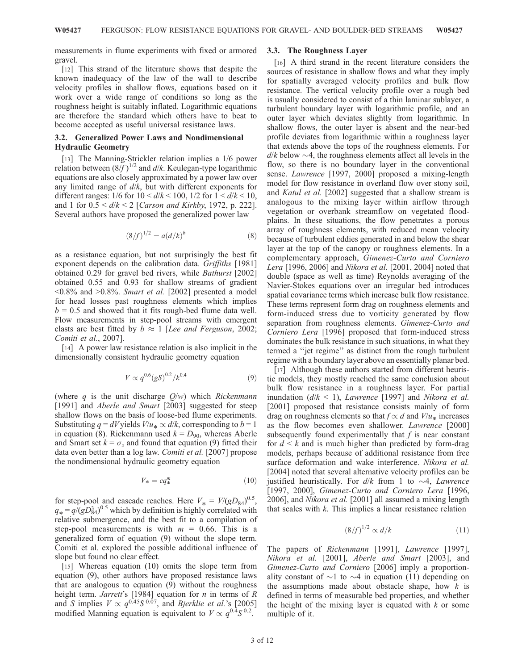measurements in flume experiments with fixed or armored gravel.

[12] This strand of the literature shows that despite the known inadequacy of the law of the wall to describe velocity profiles in shallow flows, equations based on it work over a wide range of conditions so long as the roughness height is suitably inflated. Logarithmic equations are therefore the standard which others have to beat to become accepted as useful universal resistance laws.

### 3.2. Generalized Power Laws and Nondimensional Hydraulic Geometry

[13] The Manning-Strickler relation implies a 1/6 power relation between  $(8/f)^{1/2}$  and  $d/k$ . Keulegan-type logarithmic equations are also closely approximated by a power law over any limited range of  $d/k$ , but with different exponents for different ranges:  $1/6$  for  $10 < d/k < 100$ ,  $1/2$  for  $1 < d/k < 10$ , and 1 for  $0.5 < d/k < 2$  [Carson and Kirkby, 1972, p. 222]. Several authors have proposed the generalized power law

$$
(8/f)^{1/2} = a(d/k)^b \tag{8}
$$

as a resistance equation, but not surprisingly the best fit exponent depends on the calibration data. Griffiths [1981] obtained 0.29 for gravel bed rivers, while *Bathurst* [2002] obtained 0.55 and 0.93 for shallow streams of gradient  $\leq 0.8\%$  and  $\geq 0.8\%$ . Smart et al. [2002] presented a model for head losses past roughness elements which implies  $b = 0.5$  and showed that it fits rough-bed flume data well. Flow measurements in step-pool streams with emergent clasts are best fitted by  $b \approx 1$  [Lee and Ferguson, 2002; Comiti et al., 2007].

[14] A power law resistance relation is also implicit in the dimensionally consistent hydraulic geometry equation

$$
V \propto q^{0.6} (gS)^{0.2} / k^{0.4}
$$
 (9)

(where q is the unit discharge  $Q/w$ ) which Rickenmann [1991] and *Aberle and Smart* [2003] suggested for steep shallow flows on the basis of loose-bed flume experiments. Substituting  $q = dV$ yields  $V/u_* \propto d/k$ , corresponding to  $b = 1$ in equation (8). Rickenmann used  $k = D_{90}$ , whereas Aberle and Smart set  $k = \sigma_z$  and found that equation (9) fitted their data even better than a log law. Comiti et al. [2007] propose the nondimensional hydraulic geometry equation

$$
V_* = cq_*^m \tag{10}
$$

for step-pool and cascade reaches. Here  $V_* = V/(gD_{84})^{0.5}$  $q_* = q/(gD_{84}^3)^{0.5}$  which by definition is highly correlated with relative submergence, and the best fit to a compilation of step-pool measurements is with  $m = 0.66$ . This is a generalized form of equation (9) without the slope term. Comiti et al. explored the possible additional influence of slope but found no clear effect.

[15] Whereas equation (10) omits the slope term from equation (9), other authors have proposed resistance laws that are analogous to equation (9) without the roughness height term. Jarrett's [1984] equation for  $n$  in terms of  $R$ and S implies  $V \propto q^{0.45} S^{0.07}$ , and Bjerklie et al.'s [2005] modified Manning equation is equivalent to  $V \propto q^{0.4} S^{0.2}$ .

#### 3.3. The Roughness Layer

[16] A third strand in the recent literature considers the sources of resistance in shallow flows and what they imply for spatially averaged velocity profiles and bulk flow resistance. The vertical velocity profile over a rough bed is usually considered to consist of a thin laminar sublayer, a turbulent boundary layer with logarithmic profile, and an outer layer which deviates slightly from logarithmic. In shallow flows, the outer layer is absent and the near-bed profile deviates from logarithmic within a roughness layer that extends above the tops of the roughness elements. For  $d/k$  below  $\sim$ 4, the roughness elements affect all levels in the flow, so there is no boundary layer in the conventional sense. Lawrence [1997, 2000] proposed a mixing-length model for flow resistance in overland flow over stony soil, and *Katul et al.* [2002] suggested that a shallow stream is analogous to the mixing layer within airflow through vegetation or overbank streamflow on vegetated floodplains. In these situations, the flow penetrates a porous array of roughness elements, with reduced mean velocity because of turbulent eddies generated in and below the shear layer at the top of the canopy or roughness elements. In a complementary approach, Gimenez-Curto and Corniero Lera [1996, 2006] and *Nikora et al.* [2001, 2004] noted that double (space as well as time) Reynolds averaging of the Navier-Stokes equations over an irregular bed introduces spatial covariance terms which increase bulk flow resistance. These terms represent form drag on roughness elements and form-induced stress due to vorticity generated by flow separation from roughness elements. Gimenez-Curto and Corniero Lera [1996] proposed that form-induced stress dominates the bulk resistance in such situations, in what they termed a ''jet regime'' as distinct from the rough turbulent regime with a boundary layer above an essentially planar bed.

[17] Although these authors started from different heuristic models, they mostly reached the same conclusion about bulk flow resistance in a roughness layer. For partial inundation  $(d/k < 1)$ , Lawrence [1997] and Nikora et al. [2001] proposed that resistance consists mainly of form drag on roughness elements so that  $f \propto d$  and  $V/u_*$  increases as the flow becomes even shallower. Lawrence [2000] subsequently found experimentally that  $f$  is near constant for  $d \leq k$  and is much higher than predicted by form-drag models, perhaps because of additional resistance from free surface deformation and wake interference. Nikora et al. [2004] noted that several alternative velocity profiles can be justified heuristically. For  $d/k$  from 1 to  $\sim$ 4, *Lawrence* [1997, 2000], Gimenez-Curto and Corniero Lera [1996, 2006], and *Nikora et al.* [2001] all assumed a mixing length that scales with  $k$ . This implies a linear resistance relation

$$
\left(8/f\right)^{1/2} \propto d/k\tag{11}
$$

The papers of Rickenmann [1991], Lawrence [1997], Nikora et al. [2001], Aberle and Smart [2003], and Gimenez-Curto and Corniero [2006] imply a proportionality constant of  $\sim$ 1 to  $\sim$ 4 in equation (11) depending on the assumptions made about obstacle shape, how  $k$  is defined in terms of measurable bed properties, and whether the height of the mixing layer is equated with  $k$  or some multiple of it.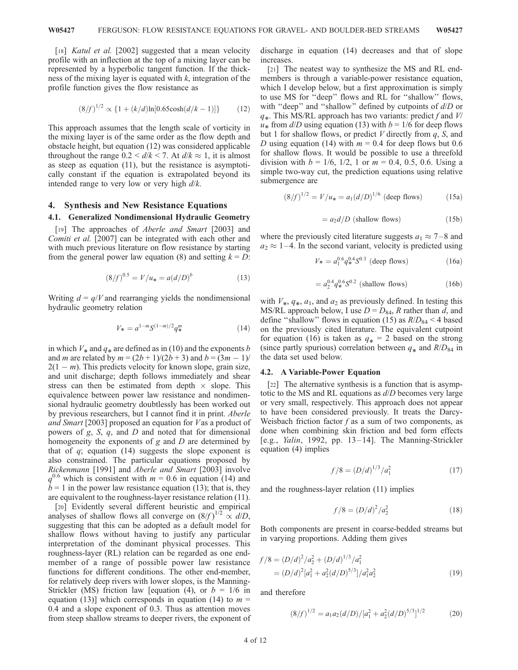[18] *Katul et al.* [2002] suggested that a mean velocity profile with an inflection at the top of a mixing layer can be represented by a hyperbolic tangent function. If the thickness of the mixing layer is equated with  $k$ , integration of the profile function gives the flow resistance as

$$
(8/f)^{1/2} \propto \{1 + (k/d)\ln[0.65 \cosh(d/k - 1)]\} \tag{12}
$$

This approach assumes that the length scale of vorticity in the mixing layer is of the same order as the flow depth and obstacle height, but equation (12) was considered applicable throughout the range  $0.2 \le d/k \le 7$ . At  $d/k \approx 1$ , it is almost as steep as equation (11), but the resistance is asymptotically constant if the equation is extrapolated beyond its intended range to very low or very high  $d/k$ .

### 4. Synthesis and New Resistance Equations

### 4.1. Generalized Nondimensional Hydraulic Geometry

[19] The approaches of *Aberle and Smart* [2003] and Comiti et al. [2007] can be integrated with each other and with much previous literature on flow resistance by starting from the general power law equation (8) and setting  $k = D$ :

$$
(8/f)^{0.5} = V/u_* = a(d/D)^b \tag{13}
$$

Writing  $d = q/V$  and rearranging yields the nondimensional hydraulic geometry relation

$$
V_* = a^{1-m} S^{(1-m)/2} q_*^m \tag{14}
$$

in which  $V_*$  and  $q_*$  are defined as in (10) and the exponents b and *m* are related by  $m = (2b + 1)/(2b + 3)$  and  $b = (3m - 1)/$  $2(1 - m)$ . This predicts velocity for known slope, grain size, and unit discharge; depth follows immediately and shear stress can then be estimated from depth  $\times$  slope. This equivalence between power law resistance and nondimensional hydraulic geometry doubtlessly has been worked out by previous researchers, but I cannot find it in print. Aberle and Smart [2003] proposed an equation for Vas a product of powers of  $g$ ,  $S$ ,  $q$ , and  $D$  and noted that for dimensional homogeneity the exponents of  $g$  and  $D$  are determined by that of  $q$ ; equation (14) suggests the slope exponent is also constrained. The particular equations proposed by Rickenmann [1991] and Aberle and Smart [2003] involve  $q^{0.6}$  which is consistent with  $m = 0.6$  in equation (14) and  $b = 1$  in the power law resistance equation (13); that is, they are equivalent to the roughness-layer resistance relation (11).

[20] Evidently several different heuristic and empirical analyses of shallow flows all converge on  $(8/f)^{1/2} \propto d/D$ , suggesting that this can be adopted as a default model for shallow flows without having to justify any particular interpretation of the dominant physical processes. This roughness-layer (RL) relation can be regarded as one endmember of a range of possible power law resistance functions for different conditions. The other end-member, for relatively deep rivers with lower slopes, is the Manning-Strickler (MS) friction law [equation (4), or  $b = 1/6$  in equation (13)] which corresponds in equation (14) to  $m =$ 0.4 and a slope exponent of 0.3. Thus as attention moves from steep shallow streams to deeper rivers, the exponent of discharge in equation (14) decreases and that of slope increases.

[21] The neatest way to synthesize the MS and RL endmembers is through a variable-power resistance equation, which I develop below, but a first approximation is simply to use MS for ''deep'' flows and RL for ''shallow'' flows, with "deep" and "shallow" defined by cutpoints of  $d/D$  or  $q_*$ . This MS/RL approach has two variants: predict f and V/  $u_*$  from  $d/D$  using equation (13) with  $b = 1/6$  for deep flows but 1 for shallow flows, or predict  $V$  directly from  $q$ ,  $S$ , and D using equation (14) with  $m = 0.4$  for deep flows but 0.6 for shallow flows. It would be possible to use a threefold division with  $b = 1/6$ ,  $1/2$ , 1 or  $m = 0.4$ , 0.5, 0.6. Using a simple two-way cut, the prediction equations using relative submergence are

$$
(8/f)^{1/2} = V/u_* = a_1 (d/D)^{1/6} \text{ (deep flows)}
$$
 (15a)

$$
= a_2 d/D \text{ (shallow flows)} \tag{15b}
$$

where the previously cited literature suggests  $a_1 \approx 7-8$  and  $a_2 \approx 1 - 4$ . In the second variant, velocity is predicted using

$$
V_* = a_1^{0.6} q_*^{0.4} S^{0.3} \text{ (deep flows)}
$$
 (16a)

$$
= a_2^{0.4} q_*^{0.6} S^{0.2}
$$
 (shallow flows) \t(16b)

with  $V_*, q_*, a_1$ , and  $a_2$  as previously defined. In testing this MS/RL approach below, I use  $D = D_{84}$ , R rather than d, and define "shallow" flows in equation (15) as  $R/D_{84}$  < 4 based on the previously cited literature. The equivalent cutpoint for equation (16) is taken as  $q_* = 2$  based on the strong<br>(cines neutral equation) correlation between  $q_*$  and  $P/D_*$  in (since partly spurious) correlation between  $q_*$  and  $R/D_{84}$  in the data set used below.

#### 4.2. A Variable-Power Equation

[22] The alternative synthesis is a function that is asymptotic to the MS and RL equations as  $d/D$  becomes very large or very small, respectively. This approach does not appear to have been considered previously. It treats the Darcy-Weisbach friction factor  $f$  as a sum of two components, as done when combining skin friction and bed form effects [e.g., *Yalin*, 1992, pp.  $13-14$ ]. The Manning-Strickler equation (4) implies

$$
f/8 = (D/d)^{1/3}/a_1^2 \tag{17}
$$

and the roughness-layer relation (11) implies

$$
f/8 = (D/d)^2 / a_2^2 \tag{18}
$$

Both components are present in coarse-bedded streams but in varying proportions. Adding them gives

$$
f/8 = (D/d)^2/a_2^2 + (D/d)^{1/3}/a_1^2
$$
  
=  $(D/d)^2 [a_1^2 + a_2^2 (d/D)^{5/3}] / a_1^2 a_2^2$  (19)

and therefore

$$
(8/f)^{1/2} = a_1 a_2 (d/D) / [a_1^2 + a_2^2 (d/D)^{5/3}]^{1/2}
$$
 (20)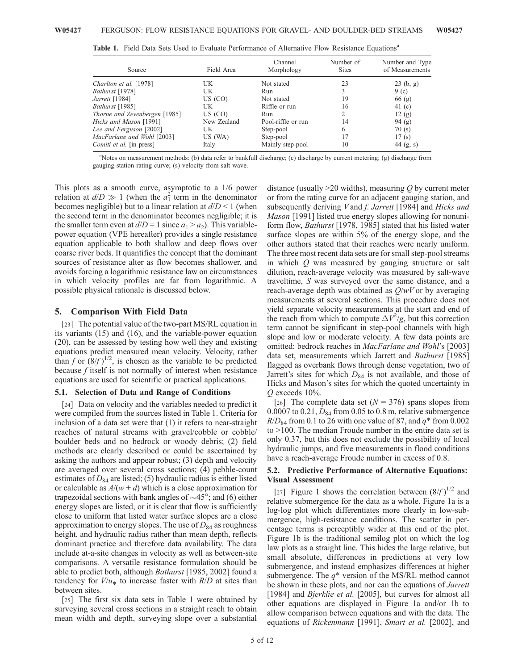| Source                        | Field Area  | Channel<br>Morphology | Number of<br><b>Sites</b> | Number and Type<br>of Measurements |
|-------------------------------|-------------|-----------------------|---------------------------|------------------------------------|
| Charlton et al. [1978]        | UK          | Not stated            | 23                        | 23(b, g)                           |
| <i>Bathurst</i> [1978]        | UK          | Run                   |                           | 9(c)                               |
| <i>Jarrett</i> [1984]         | US (CO)     | Not stated            | 19                        | 66(g)                              |
| Bathurst [1985]               | UK          | Riffle or run         | 16                        | 41 (c)                             |
| Thorne and Zevenbergen [1985] | US (CO)     | Run                   | 2                         | 12(g)                              |
| Hicks and Mason [1991]        | New Zealand | Pool-riffle or run    | 14                        | 94(g)                              |
| Lee and Ferguson [2002]       | UK          | Step-pool             | 6                         | 70(s)                              |
| MacFarlane and Wohl [2003]    | US (WA)     | Step-pool             | 17                        | 17(s)                              |
| Comiti et al. [in press]      | Italy       | Mainly step-pool      | 10                        | 44 $(g, s)$                        |

Table 1. Field Data Sets Used to Evaluate Performance of Alternative Flow Resistance Equations<sup>a</sup>

a Notes on measurement methods: (b) data refer to bankfull discharge; (c) discharge by current metering; (g) discharge from gauging-station rating curve; (s) velocity from salt wave.

This plots as a smooth curve, asymptotic to a 1/6 power relation at  $d/D \gg 1$  (when the  $a_1^2$  term in the denominator becomes negligible) but to a linear relation at  $d/D \leq 1$  (when the second term in the denominator becomes negligible; it is the smaller term even at  $d/D = 1$  since  $a_1 > a_2$ ). This variablepower equation (VPE hereafter) provides a single resistance equation applicable to both shallow and deep flows over coarse river beds. It quantifies the concept that the dominant sources of resistance alter as flow becomes shallower, and avoids forcing a logarithmic resistance law on circumstances in which velocity profiles are far from logarithmic. A possible physical rationale is discussed below.

### 5. Comparison With Field Data

[23] The potential value of the two-part MS/RL equation in its variants (15) and (16), and the variable-power equation (20), can be assessed by testing how well they and existing equations predict measured mean velocity. Velocity, rather than f or  $(8/f)^{1/2}$ , is chosen as the variable to be predicted because f itself is not normally of interest when resistance equations are used for scientific or practical applications.

#### 5.1. Selection of Data and Range of Conditions

[24] Data on velocity and the variables needed to predict it were compiled from the sources listed in Table 1. Criteria for inclusion of a data set were that (1) it refers to near-straight reaches of natural streams with gravel/cobble or cobble/ boulder beds and no bedrock or woody debris; (2) field methods are clearly described or could be ascertained by asking the authors and appear robust; (3) depth and velocity are averaged over several cross sections; (4) pebble-count estimates of  $D_{84}$  are listed; (5) hydraulic radius is either listed or calculable as  $A/(w+d)$  which is a close approximation for trapezoidal sections with bank angles of  $\sim$ 45°; and (6) either energy slopes are listed, or it is clear that flow is sufficiently close to uniform that listed water surface slopes are a close approximation to energy slopes. The use of  $D_{84}$  as roughness height, and hydraulic radius rather than mean depth, reflects dominant practice and therefore data availability. The data include at-a-site changes in velocity as well as between-site comparisons. A versatile resistance formulation should be able to predict both, although Bathurst [1985, 2002] found a tendency for  $V/u_*$  to increase faster with  $R/D$  at sites than between sites.

[25] The first six data sets in Table 1 were obtained by surveying several cross sections in a straight reach to obtain mean width and depth, surveying slope over a substantial distance (usually  $>20$  widths), measuring Q by current meter or from the rating curve for an adjacent gauging station, and subsequently deriving V and f. Jarrett [1984] and Hicks and Mason [1991] listed true energy slopes allowing for nonuniform flow, Bathurst [1978, 1985] stated that his listed water surface slopes are within 5% of the energy slope, and the other authors stated that their reaches were nearly uniform. The three most recent data sets are for small step-pool streams in which Q was measured by gauging structure or salt dilution, reach-average velocity was measured by salt-wave traveltime, S was surveyed over the same distance, and a reach-average depth was obtained as  $Q/wV$  or by averaging measurements at several sections. This procedure does not yield separate velocity measurements at the start and end of the reach from which to compute  $\Delta V^2/g$ , but this correction term cannot be significant in step-pool channels with high slope and low or moderate velocity. A few data points are omitted: bedrock reaches in MacFarlane and Wohl's [2003] data set, measurements which Jarrett and *Bathurst* [1985] flagged as overbank flows through dense vegetation, two of Jarrett's sites for which  $D_{84}$  is not available, and those of Hicks and Mason's sites for which the quoted uncertainty in Q exceeds 10%.

[26] The complete data set ( $N = 376$ ) spans slopes from 0.0007 to 0.21,  $D_{84}$  from 0.05 to 0.8 m, relative submergence  $R/D_{84}$  from 0.1 to 26 with one value of 87, and  $q^*$  from 0.002 to >100. The median Froude number in the entire data set is only 0.37, but this does not exclude the possibility of local hydraulic jumps, and five measurements in flood conditions have a reach-average Froude number in excess of 0.8.

#### 5.2. Predictive Performance of Alternative Equations: Visual Assessment

[27] Figure 1 shows the correlation between  $(8/f)^{1/2}$  and relative submergence for the data as a whole. Figure 1a is a log-log plot which differentiates more clearly in low-submergence, high-resistance conditions. The scatter in percentage terms is perceptibly wider at this end of the plot. Figure 1b is the traditional semilog plot on which the log law plots as a straight line. This hides the large relative, but small absolute, differences in predictions at very low submergence, and instead emphasizes differences at higher submergence. The  $q^*$  version of the MS/RL method cannot be shown in these plots, and nor can the equations of *Jarrett* [1984] and *Bjerklie et al.* [2005], but curves for almost all other equations are displayed in Figure 1a and/or 1b to allow comparison between equations and with the data. The equations of Rickenmann [1991], Smart et al. [2002], and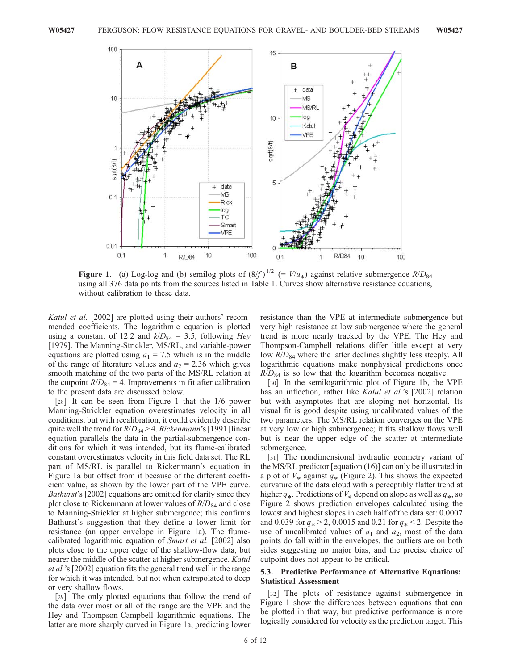

**Figure 1.** (a) Log-log and (b) semilog plots of  $(8/f)^{1/2}$  (=  $V/u_*$ ) against relative submergence  $R/D_{84}$ using all 376 data points from the sources listed in Table 1. Curves show alternative resistance equations, without calibration to these data.

Katul et al. [2002] are plotted using their authors' recommended coefficients. The logarithmic equation is plotted using a constant of 12.2 and  $k/D_{84} = 3.5$ , following Hey [1979]. The Manning-Strickler, MS/RL, and variable-power equations are plotted using  $a_1 = 7.5$  which is in the middle of the range of literature values and  $a_2 = 2.36$  which gives smooth matching of the two parts of the MS/RL relation at the cutpoint  $R/D_{84} = 4$ . Improvements in fit after calibration to the present data are discussed below.

[28] It can be seen from Figure 1 that the 1/6 power Manning-Strickler equation overestimates velocity in all conditions, but with recalibration, it could evidently describe quite well the trend for  $R/D_{84} > 4$ . Rickenmann's [1991] linear equation parallels the data in the partial-submergence conditions for which it was intended, but its flume-calibrated constant overestimates velocity in this field data set. The RL part of MS/RL is parallel to Rickenmann's equation in Figure 1a but offset from it because of the different coefficient value, as shown by the lower part of the VPE curve. Bathurst's [2002] equations are omitted for clarity since they plot close to Rickenmann at lower values of  $R/D_{84}$  and close to Manning-Strickler at higher submergence; this confirms Bathurst's suggestion that they define a lower limit for resistance (an upper envelope in Figure 1a). The flumecalibrated logarithmic equation of Smart et al. [2002] also plots close to the upper edge of the shallow-flow data, but nearer the middle of the scatter at higher submergence. Katul et al.'s [2002] equation fits the general trend well in the range for which it was intended, but not when extrapolated to deep or very shallow flows.

[29] The only plotted equations that follow the trend of the data over most or all of the range are the VPE and the Hey and Thompson-Campbell logarithmic equations. The latter are more sharply curved in Figure 1a, predicting lower

resistance than the VPE at intermediate submergence but very high resistance at low submergence where the general trend is more nearly tracked by the VPE. The Hey and Thompson-Campbell relations differ little except at very low  $R/D_{84}$  where the latter declines slightly less steeply. All logarithmic equations make nonphysical predictions once  $R/D_{84}$  is so low that the logarithm becomes negative.

[30] In the semilogarithmic plot of Figure 1b, the VPE has an inflection, rather like *Katul et al.*'s [2002] relation but with asymptotes that are sloping not horizontal. Its visual fit is good despite using uncalibrated values of the two parameters. The MS/RL relation converges on the VPE at very low or high submergence; it fits shallow flows well but is near the upper edge of the scatter at intermediate submergence.

[31] The nondimensional hydraulic geometry variant of the MS/RL predictor [equation (16)] can only be illustrated in a plot of  $V_*$  against  $q_*$  (Figure 2). This shows the expected curvature of the data cloud with a perceptibly flatter trend at higher  $q_*$ . Predictions of  $V_*$  depend on slope as well as  $q_*$ , so Figure 2 shows prediction envelopes calculated using the lowest and highest slopes in each half of the data set: 0.0007 and 0.039 for  $q_* > 2$ , 0.0015 and 0.21 for  $q_* < 2$ . Despite the use of uncalibrated values of  $a_1$  and  $a_2$ , most of the data points do fall within the envelopes, the outliers are on both sides suggesting no major bias, and the precise choice of cutpoint does not appear to be critical.

## 5.3. Predictive Performance of Alternative Equations: Statistical Assessment

[32] The plots of resistance against submergence in Figure 1 show the differences between equations that can be plotted in that way, but predictive performance is more logically considered for velocity as the prediction target. This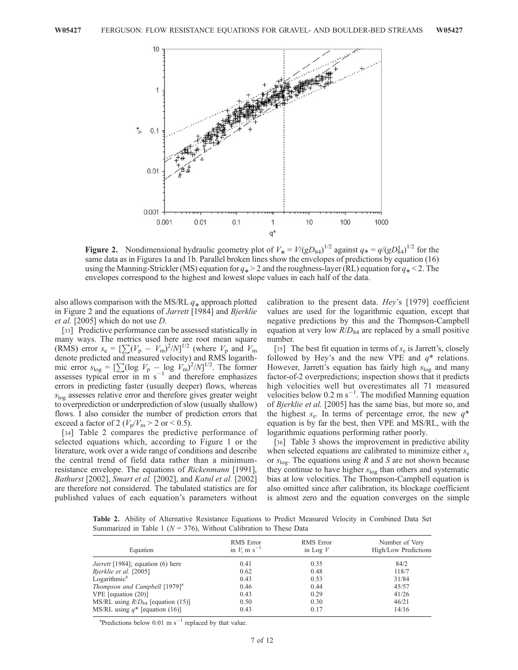

**Figure 2.** Nondimensional hydraulic geometry plot of  $V_* = V/(gD_{84})^{1/2}$  against  $q_* = q/(gD_{84}^3)^{1/2}$  for the same data as in Figures 1.6 and 1.b. Benefits have a hours the exual press of prodictions by equation (16) same data as in Figures 1a and 1b. Parallel broken lines show the envelopes of predictions by equation (16) using the Manning-Strickler (MS) equation for  $q_*$  > 2 and the roughness-layer (RL) equation for  $q_*$  < 2. The envelopes correspond to the highest and lowest slope values in each half of the data.

also allows comparison with the MS/RL  $q_*$  approach plotted in Figure 2 and the equations of Jarrett [1984] and Bjerklie et al. [2005] which do not use D.

[33] Predictive performance can be assessed statistically in many ways. The metrics used here are root mean square (RMS) error  $s_e = \left[\sum (V_p - V_m)^2 / N\right]^{1/2}$  (where  $V_p$  and  $V_m$ denote predicted and measured velocity) and RMS logarithmic error  $s_{\text{log}} = [\sum(\text{log } V_p - \text{log } V_m)^2/N]^{1/2}$ . The former assesses typical error in m  $s^{-1}$  and therefore emphasizes errors in predicting faster (usually deeper) flows, whereas  $s<sub>log</sub>$  assesses relative error and therefore gives greater weight to overprediction or underprediction of slow (usually shallow) flows. I also consider the number of prediction errors that exceed a factor of 2 ( $V_p/V_m > 2$  or < 0.5).

[34] Table 2 compares the predictive performance of selected equations which, according to Figure 1 or the literature, work over a wide range of conditions and describe the central trend of field data rather than a minimumresistance envelope. The equations of Rickenmann [1991], Bathurst [2002], Smart et al. [2002], and Katul et al. [2002] are therefore not considered. The tabulated statistics are for published values of each equation's parameters without

calibration to the present data.  $Hey's$  [1979] coefficient values are used for the logarithmic equation, except that negative predictions by this and the Thompson-Campbell equation at very low  $R/D_{84}$  are replaced by a small positive number.

[35] The best fit equation in terms of  $s_e$  is Jarrett's, closely followed by Hey's and the new VPE and  $q^*$  relations. However, Jarrett's equation has fairly high  $s_{\log}$  and many factor-of-2 overpredictions; inspection shows that it predicts high velocities well but overestimates all 71 measured velocities below  $0.2 \text{ m s}^{-1}$ . The modified Manning equation of Bjerklie et al. [2005] has the same bias, but more so, and the highest  $s_e$ . In terms of percentage error, the new  $q^*$ equation is by far the best, then VPE and MS/RL, with the logarithmic equations performing rather poorly.

[36] Table 3 shows the improvement in predictive ability when selected equations are calibrated to minimize either  $s_e$ or  $s_{\text{log}}$ . The equations using R and S are not shown because they continue to have higher  $s_{\log}$  than others and systematic bias at low velocities. The Thompson-Campbell equation is also omitted since after calibration, its blockage coefficient is almost zero and the equation converges on the simple

Table 2. Ability of Alternative Resistance Equations to Predict Measured Velocity in Combined Data Set Summarized in Table 1 ( $N = 376$ ), Without Calibration to These Data

| Equation                                  | RMS Error<br>in V, m s <sup><math>-1</math></sup> | RMS Error<br>in Log $V$ | Number of Very<br>High/Low Predictions |
|-------------------------------------------|---------------------------------------------------|-------------------------|----------------------------------------|
| <i>Jarrett</i> [1984]; equation (6) here  | 0.41                                              | 0.35                    | 84/2                                   |
| Bjerklie et al. [2005]                    | 0.62                                              | 0.48                    | 118/7                                  |
| Logarithmic <sup>a</sup>                  | 0.43                                              | 0.53                    | 31/84                                  |
| Thompson and Campbell [1979] <sup>a</sup> | 0.46                                              | 0.44                    | 45/57                                  |
| VPE [equation $(20)$ ]                    | 0.43                                              | 0.29                    | 41/26                                  |
| MS/RL using $R/D_{84}$ [equation (15)]    | 0.50                                              | 0.30                    | 46/21                                  |
| MS/RL using $q^*$ [equation (16)]         | 0.43                                              | 0.17                    | 14/16                                  |

<sup>a</sup>Predictions below 0.01 m  $s^{-1}$  replaced by that value.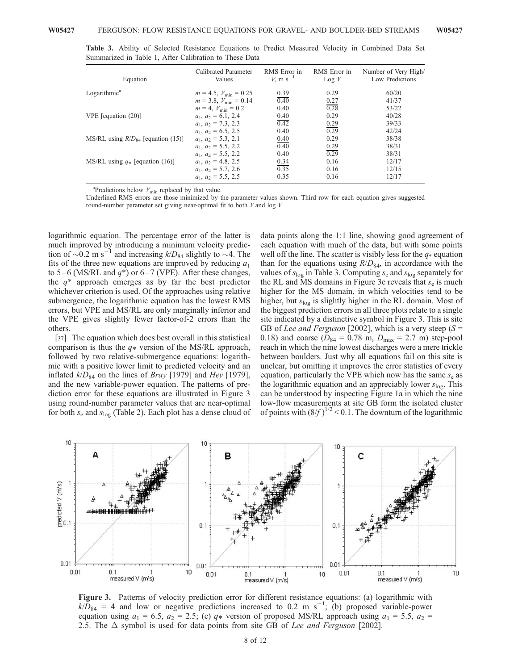| Equation                               | Calibrated Parameter<br>Values      | RMS Error in<br>V, m s <sup>-1</sup> | RMS Error in<br>Log V | Number of Very High/<br>Low Predictions |
|----------------------------------------|-------------------------------------|--------------------------------------|-----------------------|-----------------------------------------|
| Logarithmic <sup>a</sup>               | $m = 4.5$ , $V_{\text{min}} = 0.25$ | 0.39                                 | 0.29                  | 60/20                                   |
|                                        | $m = 3.8$ , $V_{\text{min}} = 0.14$ | 0.40                                 | 0.27                  | 41/37                                   |
|                                        | $m = 4$ , $V_{\text{min}} = 0.2$    | 0.40                                 | 0.28                  | 53/22                                   |
| $VPE$ [equation $(20)$ ]               | $a_1, a_2 = 6.1, 2.4$               | 0.40                                 | 0.29                  | 40/28                                   |
|                                        | $a_1, a_2$ = 7.3, 2.3               | 0.42                                 | 0.29                  | 39/33                                   |
|                                        | $a_1, a_2 = 6.5, 2.5$               | 0.40                                 | 0.29                  | 42/24                                   |
| MS/RL using $R/D_{84}$ [equation (15)] | $a_1, a_2 = 5.3, 2.1$               | 0.40                                 | 0.29                  | 38/38                                   |
|                                        | $a_1, a_2 = 5.5, 2.2$               | 0.40                                 | 0.29                  | 38/31                                   |
|                                        | $a_1, a_2$ = 5.5, 2.2               | 0.40                                 | 0.29                  | 38/31                                   |
| MS/RL using $q_*$ [equation (16)]      | $a_1, a_2 = 4.8, 2.5$               | 0.34                                 | 0.16                  | 12/17                                   |
|                                        | $a_1, a_2 = 5.7, 2.6$               | 0.35                                 | $\frac{0.16}{0.16}$   | 12/15                                   |
|                                        | $a_1, a_2 = 5.5, 2.5$               | 0.35                                 |                       | 12/17                                   |
|                                        |                                     |                                      |                       |                                         |

Table 3. Ability of Selected Resistance Equations to Predict Measured Velocity in Combined Data Set Summarized in Table 1, After Calibration to These Data

<sup>a</sup>Predictions below  $V_{\text{min}}$  replaced by that value.

Underlined RMS errors are those minimized by the parameter values shown. Third row for each equation gives suggested round-number parameter set giving near-optimal fit to both V and log V.

logarithmic equation. The percentage error of the latter is much improved by introducing a minimum velocity prediction of  $\sim 0.2$  m s<sup>-1</sup> and increasing  $k/D_{84}$  slightly to  $\sim 4$ . The fits of the three new equations are improved by reducing  $a_1$ to 5–6 (MS/RL and  $q^*$ ) or 6–7 (VPE). After these changes, the  $q^*$  approach emerges as by far the best predictor whichever criterion is used. Of the approaches using relative submergence, the logarithmic equation has the lowest RMS errors, but VPE and MS/RL are only marginally inferior and the VPE gives slightly fewer factor-of-2 errors than the others.

[37] The equation which does best overall in this statistical comparison is thus the  $q*$  version of the MS/RL approach, followed by two relative-submergence equations: logarithmic with a positive lower limit to predicted velocity and an inflated  $k/D_{84}$  on the lines of *Bray* [1979] and *Hey* [1979], and the new variable-power equation. The patterns of prediction error for these equations are illustrated in Figure 3 using round-number parameter values that are near-optimal for both  $s_e$  and  $s_{log}$  (Table 2). Each plot has a dense cloud of data points along the 1:1 line, showing good agreement of each equation with much of the data, but with some points well off the line. The scatter is visibly less for the  $q*$  equation than for the equations using  $R/D_{84}$ , in accordance with the values of  $s_{\log}$  in Table 3. Computing  $s_e$  and  $s_{\log}$  separately for the RL and MS domains in Figure 3c reveals that  $s_e$  is much higher for the MS domain, in which velocities tend to be higher, but  $s_{\log}$  is slightly higher in the RL domain. Most of the biggest prediction errors in all three plots relate to a single site indicated by a distinctive symbol in Figure 3. This is site GB of Lee and Ferguson [2002], which is a very steep ( $S =$ 0.18) and coarse ( $D_{84} = 0.78$  m,  $D_{\text{max}} = 2.7$  m) step-pool reach in which the nine lowest discharges were a mere trickle between boulders. Just why all equations fail on this site is unclear, but omitting it improves the error statistics of every equation, particularly the VPE which now has the same  $s_e$  as the logarithmic equation and an appreciably lower  $s_{\text{log}}$ . This can be understood by inspecting Figure 1a in which the nine low-flow measurements at site GB form the isolated cluster of points with  $(8/f)^{1/2}$  < 0.1. The downturn of the logarithmic



Figure 3. Patterns of velocity prediction error for different resistance equations: (a) logarithmic with  $k\overrightarrow{D}_{84}$  = 4 and low or negative predictions increased to 0.2 m s<sup>-1</sup>; (b) proposed variable-power equation using  $a_1 = 6.5$ ,  $a_2 = 2.5$ ; (c)  $q_*$  version of proposed MS/RL approach using  $a_1 = 5.5$ ,  $a_2 =$ 2.5. The  $\Delta$  symbol is used for data points from site GB of Lee and Ferguson [2002].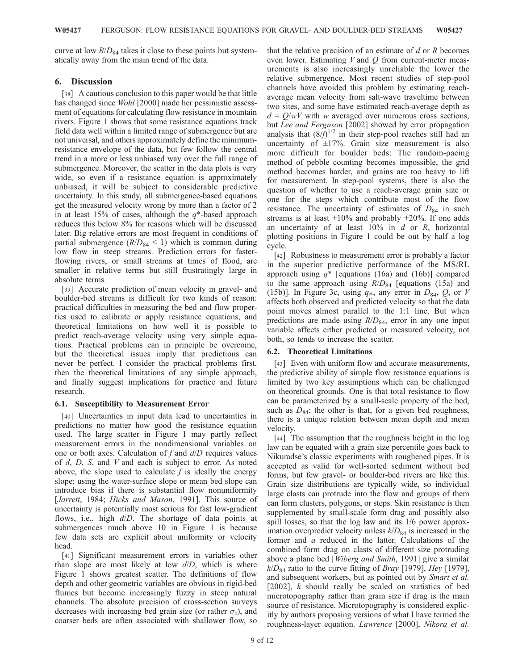curve at low  $R/D_{84}$  takes it close to these points but systematically away from the main trend of the data.

### 6. Discussion

[38] A cautious conclusion to this paper would be that little has changed since *Wohl* [2000] made her pessimistic assessment of equations for calculating flow resistance in mountain rivers. Figure 1 shows that some resistance equations track field data well within a limited range of submergence but are not universal, and others approximately define the minimumresistance envelope of the data, but few follow the central trend in a more or less unbiased way over the full range of submergence. Moreover, the scatter in the data plots is very wide, so even if a resistance equation is approximately unbiased, it will be subject to considerable predictive uncertainty. In this study, all submergence-based equations get the measured velocity wrong by more than a factor of 2 in at least 15% of cases, although the  $q^*$ -based approach reduces this below 8% for reasons which will be discussed later. Big relative errors are most frequent in conditions of partial submergence  $(R/D_{84} < 1)$  which is common during low flow in steep streams. Prediction errors for fasterflowing rivers, or small streams at times of flood, are smaller in relative terms but still frustratingly large in absolute terms.

[39] Accurate prediction of mean velocity in gravel- and boulder-bed streams is difficult for two kinds of reason: practical difficulties in measuring the bed and flow properties used to calibrate or apply resistance equations, and theoretical limitations on how well it is possible to predict reach-average velocity using very simple equations. Practical problems can in principle be overcome, but the theoretical issues imply that predictions can never be perfect. I consider the practical problems first, then the theoretical limitations of any simple approach, and finally suggest implications for practice and future research.

### 6.1. Susceptibility to Measurement Error

[40] Uncertainties in input data lead to uncertainties in predictions no matter how good the resistance equation used. The large scatter in Figure 1 may partly reflect measurement errors in the nondimensional variables on one or both axes. Calculation of f and  $d/D$  requires values of  $d$ ,  $D$ ,  $S$ , and  $V$  and each is subject to error. As noted above, the slope used to calculate  $f$  is ideally the energy slope; using the water-surface slope or mean bed slope can introduce bias if there is substantial flow nonuniformity [Jarrett, 1984; Hicks and Mason, 1991]. This source of uncertainty is potentially most serious for fast low-gradient flows, i.e., high  $d/D$ . The shortage of data points at submergences much above 10 in Figure 1 is because few data sets are explicit about uniformity or velocity head.

[41] Significant measurement errors in variables other than slope are most likely at low  $d/D$ , which is where Figure 1 shows greatest scatter. The definitions of flow depth and other geometric variables are obvious in rigid-bed flumes but become increasingly fuzzy in steep natural channels. The absolute precision of cross-section surveys decreases with increasing bed grain size (or rather  $\sigma_z$ ), and coarser beds are often associated with shallower flow, so that the relative precision of an estimate of  $d$  or  $R$  becomes even lower. Estimating  $V$  and  $Q$  from current-meter measurements is also increasingly unreliable the lower the relative submergence. Most recent studies of step-pool channels have avoided this problem by estimating reachaverage mean velocity from salt-wave traveltime between two sites, and some have estimated reach-average depth as  $d = Q/wV$  with w averaged over numerous cross sections, but Lee and Ferguson [2002] showed by error propagation analysis that  $(8/f)^{1/2}$  in their step-pool reaches still had an uncertainty of  $\pm 17\%$ . Grain size measurement is also more difficult for boulder beds: The random-pacing method of pebble counting becomes impossible, the grid method becomes harder, and grains are too heavy to lift for measurement. In step-pool systems, there is also the question of whether to use a reach-average grain size or one for the steps which contribute most of the flow resistance. The uncertainty of estimates of  $D_{84}$  in such streams is at least  $\pm 10\%$  and probably  $\pm 20\%$ . If one adds an uncertainty of at least  $10\%$  in d or R, horizontal plotting positions in Figure 1 could be out by half a log cycle.

[42] Robustness to measurement error is probably a factor in the superior predictive performance of the MS/RL approach using  $q^*$  [equations (16a) and (16b)] compared to the same approach using  $R/D_{84}$  [equations (15a) and (15b)]. In Figure 3c, using  $q_*$ , any error in  $D_{84}$ , Q, or V affects both observed and predicted velocity so that the data point moves almost parallel to the 1:1 line. But when predictions are made using  $R/D_{84}$ , error in any one input variable affects either predicted or measured velocity, not both, so tends to increase the scatter.

### 6.2. Theoretical Limitations

[43] Even with uniform flow and accurate measurements, the predictive ability of simple flow resistance equations is limited by two key assumptions which can be challenged on theoretical grounds. One is that total resistance to flow can be parameterized by a small-scale property of the bed, such as  $D_{84}$ ; the other is that, for a given bed roughness, there is a unique relation between mean depth and mean velocity.

[44] The assumption that the roughness height in the log law can be equated with a grain size percentile goes back to Nikuradse's classic experiments with roughened pipes. It is accepted as valid for well-sorted sediment without bed forms, but few gravel- or boulder-bed rivers are like this. Grain size distributions are typically wide, so individual large clasts can protrude into the flow and groups of them can form clusters, polygons, or steps. Skin resistance is then supplemented by small-scale form drag and possibly also spill losses, so that the log law and its 1/6 power approximation overpredict velocity unless  $k/D_{84}$  is increased in the former and a reduced in the latter. Calculations of the combined form drag on clasts of different size protruding above a plane bed [Wiberg and Smith, 1991] give a similar  $k/D_{84}$  ratio to the curve fitting of *Bray* [1979], *Hey* [1979], and subsequent workers, but as pointed out by Smart et al. [2002],  $k$  should really be scaled on statistics of bed microtopography rather than grain size if drag is the main source of resistance. Microtopography is considered explicitly by authors proposing versions of what I have termed the roughness-layer equation. Lawrence [2000], Nikora et al.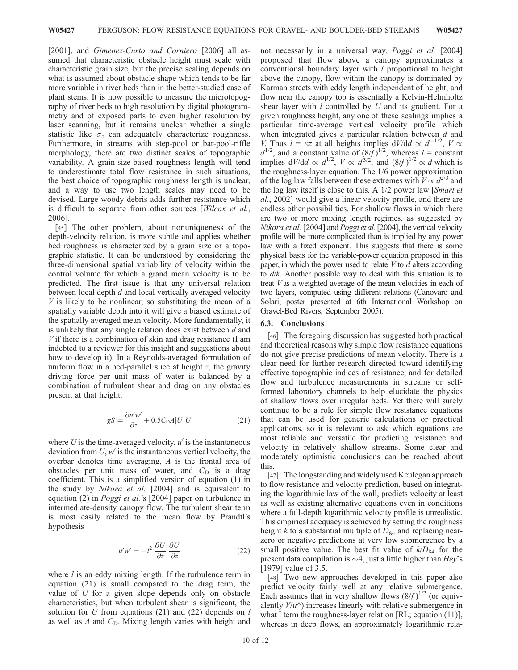[2001], and *Gimenez-Curto and Corniero* [2006] all assumed that characteristic obstacle height must scale with characteristic grain size, but the precise scaling depends on what is assumed about obstacle shape which tends to be far more variable in river beds than in the better-studied case of plant stems. It is now possible to measure the microtopography of river beds to high resolution by digital photogrammetry and of exposed parts to even higher resolution by laser scanning, but it remains unclear whether a single statistic like  $\sigma_z$  can adequately characterize roughness. Furthermore, in streams with step-pool or bar-pool-riffle morphology, there are two distinct scales of topographic variability. A grain-size-based roughness length will tend to underestimate total flow resistance in such situations, the best choice of topographic roughness length is unclear, and a way to use two length scales may need to be devised. Large woody debris adds further resistance which is difficult to separate from other sources [Wilcox et al., 2006].

[45] The other problem, about nonuniqueness of the depth-velocity relation, is more subtle and applies whether bed roughness is characterized by a grain size or a topographic statistic. It can be understood by considering the three-dimensional spatial variability of velocity within the control volume for which a grand mean velocity is to be predicted. The first issue is that any universal relation between local depth d and local vertically averaged velocity  $V$  is likely to be nonlinear, so substituting the mean of a spatially variable depth into it will give a biased estimate of the spatially averaged mean velocity. More fundamentally, it is unlikely that any single relation does exist between d and  $V$  if there is a combination of skin and drag resistance (I am indebted to a reviewer for this insight and suggestions about how to develop it). In a Reynolds-averaged formulation of uniform flow in a bed-parallel slice at height z, the gravity driving force per unit mass of water is balanced by a combination of turbulent shear and drag on any obstacles present at that height:

$$
gS = \frac{\partial \overline{u'w'}}{\partial z} + 0.5C_{D}A|U|U
$$
\n(21)

where  $U$  is the time-averaged velocity,  $u'$  is the instantaneous deviation from  $U, w'$  is the instantaneous vertical velocity, the overbar denotes time averaging, A is the frontal area of obstacles per unit mass of water, and  $C_D$  is a drag coefficient. This is a simplified version of equation (1) in the study by Nikora et al. [2004] and is equivalent to equation (2) in *Poggi et al.*'s [2004] paper on turbulence in intermediate-density canopy flow. The turbulent shear term is most easily related to the mean flow by Prandtl's hypothesis

$$
\overline{u'w'} = -l^2 \left| \frac{\partial U}{\partial z} \right| \frac{\partial U}{\partial z}
$$
 (22)

where  $l$  is an eddy mixing length. If the turbulence term in equation (21) is small compared to the drag term, the value of U for a given slope depends only on obstacle characteristics, but when turbulent shear is significant, the solution for U from equations (21) and (22) depends on  $l$ as well as A and  $C<sub>D</sub>$ . Mixing length varies with height and

not necessarily in a universal way. Poggi et al. [2004] proposed that flow above a canopy approximates a conventional boundary layer with *l* proportional to height above the canopy, flow within the canopy is dominated by Karman streets with eddy length independent of height, and flow near the canopy top is essentially a Kelvin-Helmholtz shear layer with  $l$  controlled by  $U$  and its gradient. For a given roughness height, any one of these scalings implies a particular time-average vertical velocity profile which when integrated gives a particular relation between  $d$  and V. Thus  $l = \kappa z$  at all heights implies  $dV/dd \propto d^{-1/2}$ ,  $V \propto$  $d^{1/2}$ , and a constant value of  $(8/f)^{1/2}$ , whereas  $l =$  constant implies  $dV/dd \propto d^{1/2}$ ,  $V \propto d^{3/2}$ , and  $(8/f)^{1/2} \propto d$  which is the roughness-layer equation. The 1/6 power approximation of the log law falls between these extremes with  $V \propto d^{2/3}$  and the log law itself is close to this. A 1/2 power law [Smart et al., 2002] would give a linear velocity profile, and there are endless other possibilities. For shallow flows in which there are two or more mixing length regimes, as suggested by Nikora et al. [2004] and Poggi et al. [2004], the vertical velocity profile will be more complicated than is implied by any power law with a fixed exponent. This suggests that there is some physical basis for the variable-power equation proposed in this paper, in which the power used to relate  $V$  to  $d$  alters according to  $d/k$ . Another possible way to deal with this situation is to treat V as a weighted average of the mean velocities in each of two layers, computed using different relations (Canovaro and Solari, poster presented at 6th International Workshop on Gravel-Bed Rivers, September 2005).

#### 6.3. Conclusions

[46] The foregoing discussion has suggested both practical and theoretical reasons why simple flow resistance equations do not give precise predictions of mean velocity. There is a clear need for further research directed toward identifying effective topographic indices of resistance, and for detailed flow and turbulence measurements in streams or selfformed laboratory channels to help elucidate the physics of shallow flows over irregular beds. Yet there will surely continue to be a role for simple flow resistance equations that can be used for generic calculations or practical applications, so it is relevant to ask which equations are most reliable and versatile for predicting resistance and velocity in relatively shallow streams. Some clear and moderately optimistic conclusions can be reached about this.

[47] The longstanding and widely used Keulegan approach to flow resistance and velocity prediction, based on integrating the logarithmic law of the wall, predicts velocity at least as well as existing alternative equations even in conditions where a full-depth logarithmic velocity profile is unrealistic. This empirical adequacy is achieved by setting the roughness height k to a substantial multiple of  $D_{84}$  and replacing nearzero or negative predictions at very low submergence by a small positive value. The best fit value of  $k/D_{84}$  for the present data compilation is  $\sim$ 4, just a little higher than  $Hey's$ [1979] value of 3.5.

[48] Two new approaches developed in this paper also predict velocity fairly well at any relative submergence. Each assumes that in very shallow flows  $(8/f)^{1/2}$  (or equivalently  $V/u^*$ ) increases linearly with relative submergence in what I term the roughness-layer relation [RL; equation (11)], whereas in deep flows, an approximately logarithmic rela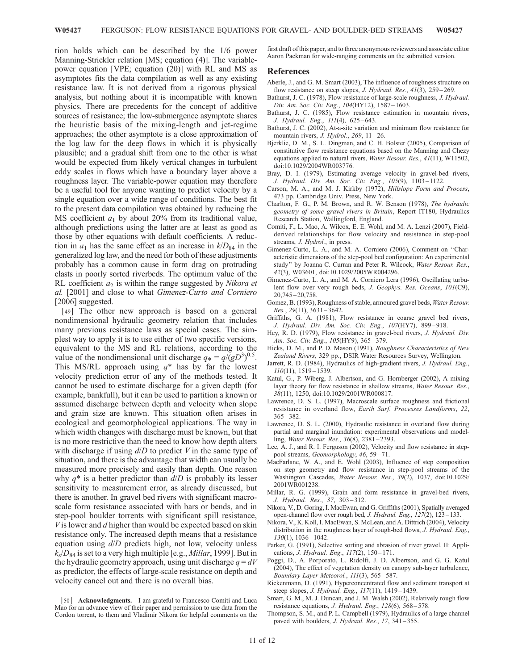tion holds which can be described by the 1/6 power Manning-Strickler relation [MS; equation (4)]. The variablepower equation [VPE; equation (20)] with RL and MS as asymptotes fits the data compilation as well as any existing resistance law. It is not derived from a rigorous physical analysis, but nothing about it is incompatible with known physics. There are precedents for the concept of additive sources of resistance; the low-submergence asymptote shares the heuristic basis of the mixing-length and jet-regime approaches; the other asymptote is a close approximation of the log law for the deep flows in which it is physically plausible; and a gradual shift from one to the other is what would be expected from likely vertical changes in turbulent eddy scales in flows which have a boundary layer above a roughness layer. The variable-power equation may therefore be a useful tool for anyone wanting to predict velocity by a single equation over a wide range of conditions. The best fit to the present data compilation was obtained by reducing the MS coefficient  $a_1$  by about 20% from its traditional value, although predictions using the latter are at least as good as those by other equations with default coefficients. A reduction in  $a_1$  has the same effect as an increase in  $k/D_{84}$  in the generalized log law, and the need for both of these adjustments probably has a common cause in form drag on protruding clasts in poorly sorted riverbeds. The optimum value of the RL coefficient  $a_2$  is within the range suggested by Nikora et al. [2001] and close to what Gimenez-Curto and Corniero [2006] suggested.

[49] The other new approach is based on a general nondimensional hydraulic geometry relation that includes many previous resistance laws as special cases. The simplest way to apply it is to use either of two specific versions, equivalent to the MS and RL relations, according to the value of the nondimensional unit discharge  $q_* = q/(gD^3)^{0.5}$ . This MS/RL approach using  $q^*$  has by far the lowest velocity prediction error of any of the methods tested. It cannot be used to estimate discharge for a given depth (for example, bankfull), but it can be used to partition a known or assumed discharge between depth and velocity when slope and grain size are known. This situation often arises in ecological and geomorphological applications. The way in which width changes with discharge must be known, but that is no more restrictive than the need to know how depth alters with discharge if using  $d/D$  to predict V in the same type of situation, and there is the advantage that width can usually be measured more precisely and easily than depth. One reason why  $q^*$  is a better predictor than  $d/D$  is probably its lesser sensitivity to measurement error, as already discussed, but there is another. In gravel bed rivers with significant macroscale form resistance associated with bars or bends, and in step-pool boulder torrents with significant spill resistance,  $V$  is lower and  $d$  higher than would be expected based on skin resistance only. The increased depth means that a resistance equation using d/D predicts high, not low, velocity unless  $k_s/D_{84}$  is set to a very high multiple [e.g., *Millar*, 1999]. But in the hydraulic geometry approach, using unit discharge  $q = dV$ as predictor, the effects of large-scale resistance on depth and velocity cancel out and there is no overall bias.

first draft of this paper, and to three anonymous reviewers and associate editor Aaron Packman for wide-ranging comments on the submitted version.

#### References

- Aberle, J., and G. M. Smart (2003), The influence of roughness structure on flow resistance on steep slopes, *J. Hydraul. Res.*,  $41(3)$ ,  $259-269$ .
- Bathurst, J. C. (1978), Flow resistance of large-scale roughness, J. Hydraul. Div. Am. Soc. Civ. Eng., 104(HY12), 1587 – 1603.
- Bathurst, J. C. (1985), Flow resistance estimation in mountain rivers, J. Hydraul. Eng., 111(4), 625-643.
- Bathurst, J. C. (2002), At-a-site variation and minimum flow resistance for mountain rivers, *J. Hydrol.*, 269, 11-26.
- Bjerklie, D. M., S. L. Dingman, and C. H. Bolster (2005), Comparison of constitutive flow resistance equations based on the Manning and Chezy equations applied to natural rivers, Water Resour. Res., 41(11), W11502, doi:10.1029/2004WR003776.
- Bray, D. I. (1979), Estimating average velocity in gravel-bed rivers, J. Hydraul. Div. Am. Soc. Civ. Eng., 105(9), 1103 – 1122.
- Carson, M. A., and M. J. Kirkby (1972), Hillslope Form and Process, 473 pp. Cambridge Univ. Press, New York.
- Charlton, F. G., P. M. Brown, and R. W. Benson (1978), The hydraulic geometry of some gravel rivers in Britain, Report IT180, Hydraulics Research Station, Wallingford, England.
- Comiti, F., L. Mao, A. Wilcox, E. E. Wohl, and M. A. Lenzi (2007), Fieldderived relationships for flow velocity and resistance in step-pool streams, *J. Hydrol.*, in press.
- Gimenez-Curto, L. A., and M. A. Corniero (2006), Comment on ''Characteristic dimensions of the step-pool bed configuration: An experimental study" by Joanna C. Curran and Peter R. Wilcock, Water Resour. Res., 42(3), W03601, doi:10.1029/2005WR004296.
- Gimenez-Curto, L. A., and M. A. Corniero Lera (1996), Oscillating turbulent flow over very rough beds, J. Geophys. Res. Oceans, 101(C9), 20,745 – 20,758.
- Gomez, B. (1993), Roughness of stable, armoured gravel beds, Water Resour.  $Res., 29(11), 3631-3642.$
- Griffiths, G. A. (1981), Flow resistance in coarse gravel bed rivers, J. Hydraul. Div. Am. Soc. Civ. Eng., 107(HY7), 899 – 918.
- Hey, R. D. (1979), Flow resistance in gravel-bed rivers, J. Hydraul. Div. Am. Soc. Civ. Eng., 105(HY9), 365 – 379.
- Hicks, D. M., and P. D. Mason (1991), Roughness Characteristics of New Zealand Rivers, 329 pp., DSIR Water Resources Survey, Wellington.
- Jarrett, R. D. (1984), Hydraulics of high-gradient rivers, J. Hydraul. Eng.,  $110(11)$ ,  $1519-1539$ .
- Katul, G., P. Wiberg, J. Albertson, and G. Hornberger (2002), A mixing layer theory for flow resistance in shallow streams, Water Resour. Res., 38(11), 1250, doi:10.1029/2001WR000817.
- Lawrence, D. S. L. (1997), Macroscale surface roughness and frictional resistance in overland flow, Earth Surf. Processes Landforms, 22,  $365 - 382.$
- Lawrence, D. S. L. (2000), Hydraulic resistance in overland flow during partial and marginal inundation: experimental observations and modelling, Water Resour. Res., 36(8), 2381-2393.
- Lee, A. J., and R. I. Ferguson (2002), Velocity and flow resistance in steppool streams, Geomorphology, 46, 59-71.
- MacFarlane, W. A., and E. Wohl (2003), Influence of step composition on step geometry and flow resistance in step-pool streams of the Washington Cascades, Water Resour. Res., 39(2), 1037, doi:10.1029/ 2001WR001238.
- Millar, R. G. (1999), Grain and form resistance in gravel-bed rivers, J. Hydraul. Res., 37, 303 – 312.
- Nikora, V., D. Goring, I. MacEwan, and G. Griffiths (2001), Spatially averaged open-channel flow over rough bed, J. Hydraul. Eng., 127(2), 123 – 133.
- Nikora, V., K. Koll, I. MacEwan, S. McLean, and A. Dittrich (2004), Velocity distribution in the roughness layer of rough-bed flows, J. Hydraul. Eng.,  $130(1)$ ,  $1036 - 1042$ .
- Parker, G. (1991), Selective sorting and abrasion of river gravel. II: Applications, J. Hydraul. Eng., 117(2), 150-171.
- Poggi, D., A. Porporato, L. Ridolfi, J. D. Albertson, and G. G. Katul (2004), The effect of vegetation density on canopy sub-layer turbulence, Boundary Layer Meteorol., 111(3), 565 – 587.
- Rickenmann, D. (1991), Hyperconcentrated flow and sediment transport at steep slopes, J. Hydraul. Eng., 117(11), 1419-1439.
- Smart, G. M., M. J. Duncan, and J. M. Walsh (2002), Relatively rough flow resistance equations, *J. Hydraul. Eng.*, 128(6), 568–578.
- Thompson, S. M., and P. L. Campbell (1979), Hydraulics of a large channel paved with boulders, J. Hydraul. Res., 17, 341-355.

<sup>[50]</sup> Acknowledgments. I am grateful to Francesco Comiti and Luca Mao for an advance view of their paper and permission to use data from the Cordon torrent, to them and Vladimir Nikora for helpful comments on the